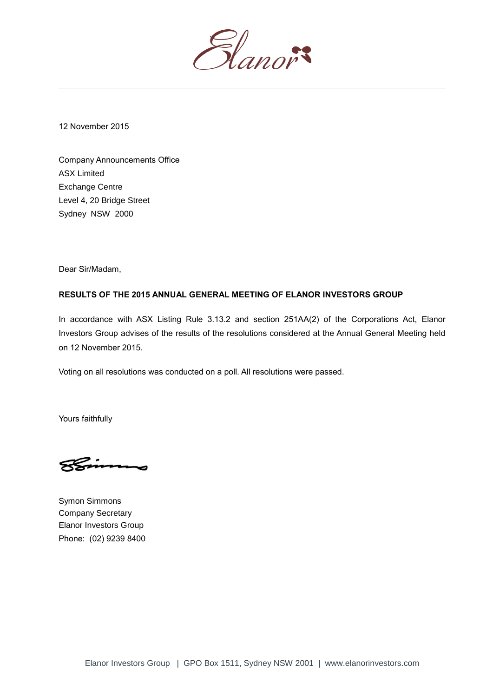

12 November 2015

Company Announcements Office ASX Limited Exchange Centre Level 4, 20 Bridge Street Sydney NSW 2000

Dear Sir/Madam,

## **RESULTS OF THE 2015 ANNUAL GENERAL MEETING OF ELANOR INVESTORS GROUP**

In accordance with ASX Listing Rule 3.13.2 and section 251AA(2) of the Corporations Act, Elanor Investors Group advises of the results of the resolutions considered at the Annual General Meeting held on 12 November 2015.

Voting on all resolutions was conducted on a poll. All resolutions were passed.

Yours faithfully

Symon Simmons Company Secretary Elanor Investors Group Phone: (02) 9239 8400